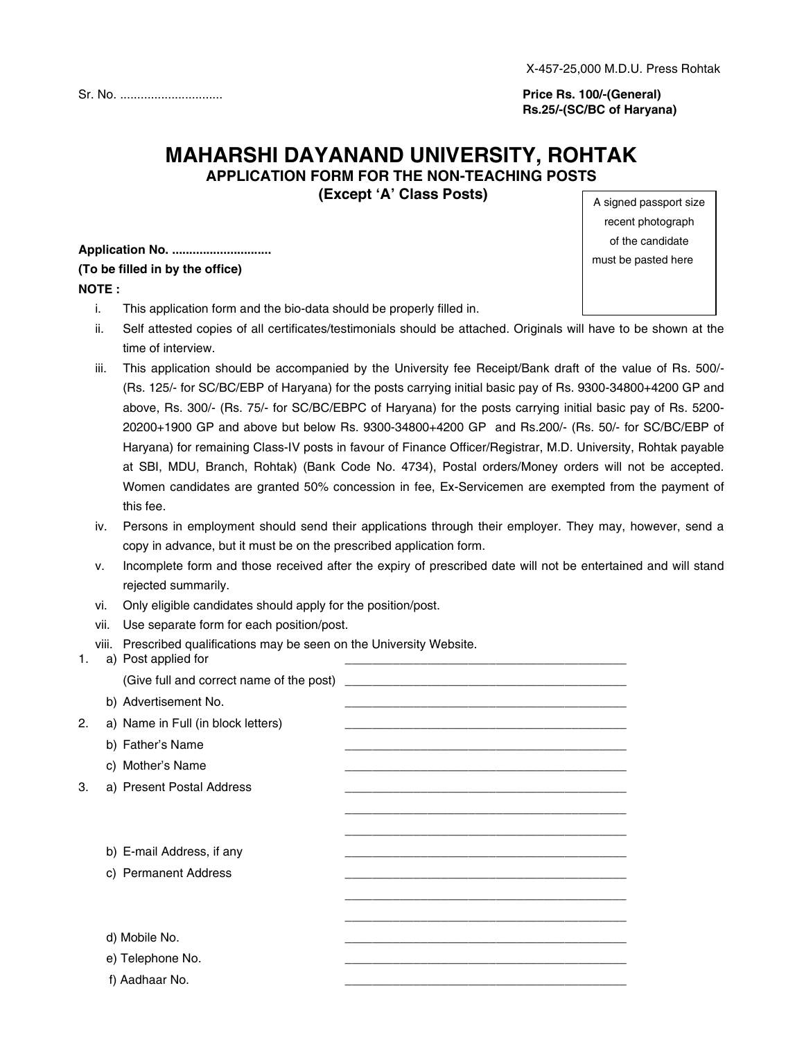**Price Rs. 100/-(General) Rs.25/-(SC/BC of Haryana)**

# **MAHARSHI DAYANAND UNIVERSITY, ROHTAK APPLICATION FORM FOR THE NON-TEACHING POSTS**

**(Except 'A' Class Posts)**

**Application No. ............................. (To be filled in by the office) NOTE :**

- i. This application form and the bio-data should be properly filled in.
- ii. Self attested copies of all certificates/testimonials should be attached. Originals will have to be shown at the time of interview.
- iii. This application should be accompanied by the University fee Receipt/Bank draft of the value of Rs. 500/- (Rs. 125/- for SC/BC/EBP of Haryana) for the posts carrying initial basic pay of Rs. 9300-34800+4200 GP and above, Rs. 300/- (Rs. 75/- for SC/BC/EBPC of Haryana) for the posts carrying initial basic pay of Rs. 5200- 20200+1900 GP and above but below Rs. 9300-34800+4200 GP and Rs.200/- (Rs. 50/- for SC/BC/EBP of Haryana) for remaining Class-IV posts in favour of Finance Officer/Registrar, M.D. University, Rohtak payable at SBI, MDU, Branch, Rohtak) (Bank Code No. 4734), Postal orders/Money orders will not be accepted. Women candidates are granted 50% concession in fee, Ex-Servicemen are exempted from the payment of this fee.
- iv. Persons in employment should send their applications through their employer. They may, however, send a copy in advance, but it must be on the prescribed application form.
- v. Incomplete form and those received after the expiry of prescribed date will not be entertained and will stand rejected summarily.
- vi. Only eligible candidates should apply for the position/post.
- vii. Use separate form for each position/post.

viii. Prescribed qualifications may be seen on the University Website.

| 1. | a) Post applied for                      |                                                                                                                  |
|----|------------------------------------------|------------------------------------------------------------------------------------------------------------------|
|    | (Give full and correct name of the post) |                                                                                                                  |
|    | b) Advertisement No.                     |                                                                                                                  |
| 2. | a) Name in Full (in block letters)       |                                                                                                                  |
|    | b) Father's Name                         | and the control of the control of the control of the control of the control of the control of the control of the |
|    | c) Mother's Name                         |                                                                                                                  |
| 3. | a) Present Postal Address                |                                                                                                                  |
|    |                                          |                                                                                                                  |
|    |                                          |                                                                                                                  |
|    | b) E-mail Address, if any                |                                                                                                                  |
|    | c) Permanent Address                     |                                                                                                                  |
|    |                                          |                                                                                                                  |
|    |                                          |                                                                                                                  |
|    | d) Mobile No.                            |                                                                                                                  |
|    | e) Telephone No.                         |                                                                                                                  |
|    | f) Aadhaar No.                           |                                                                                                                  |
|    |                                          |                                                                                                                  |

A signed passport size recent photograph of the candidate must be pasted here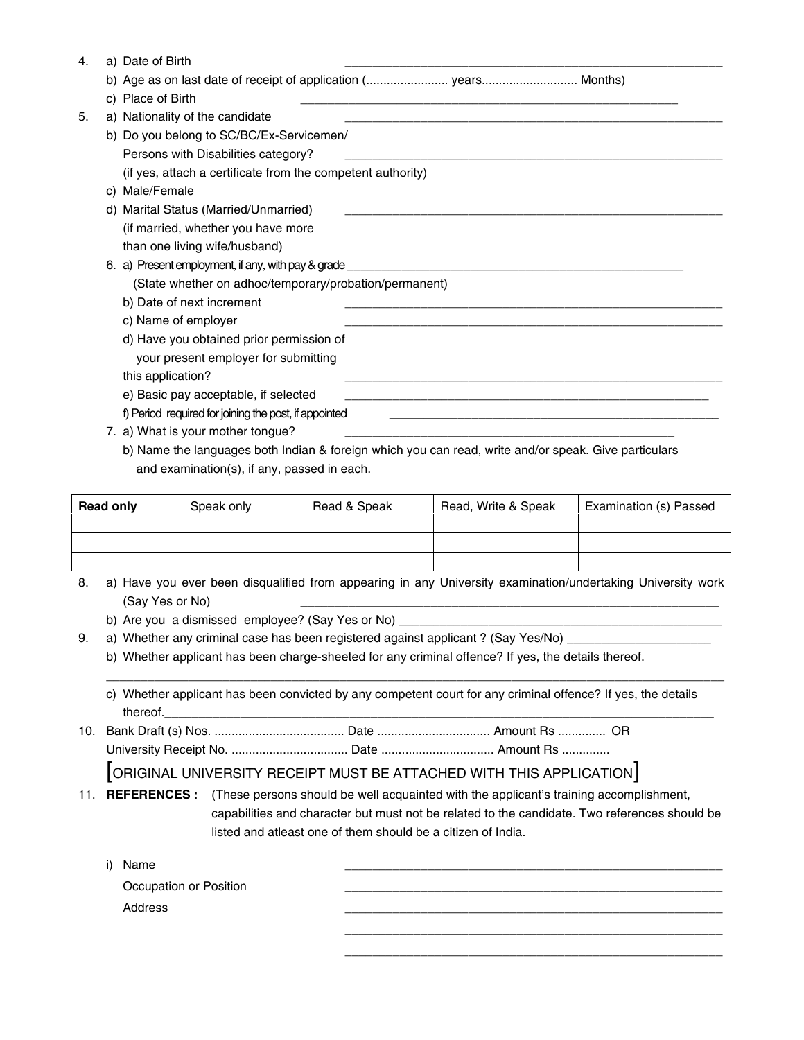| 4. | a) Date of Birth                                                 |
|----|------------------------------------------------------------------|
|    | b) Age as on last date of receipt of application ( years Months) |
|    | c) Place of Birth                                                |
| 5. | a) Nationality of the candidate                                  |
|    | b) Do you belong to SC/BC/Ex-Servicemen/                         |
|    | Persons with Disabilities category?                              |
|    | (if yes, attach a certificate from the competent authority)      |
|    | c) Male/Female                                                   |
|    | d) Marital Status (Married/Unmarried)                            |
|    | (if married, whether you have more                               |
|    | than one living wife/husband)                                    |
|    | 6. a) Present employment, if any, with pay & grade _             |
|    | (State whether on adhoc/temporary/probation/permanent)           |
|    | b) Date of next increment                                        |
|    | c) Name of employer                                              |
|    | d) Have you obtained prior permission of                         |
|    | your present employer for submitting                             |
|    | this application?                                                |
|    | e) Basic pay acceptable, if selected                             |
|    | f) Period required for joining the post, if appointed            |
|    | 7. a) What is your mother tongue?                                |

b) Name the languages both Indian & foreign which you can read, write and/or speak. Give particulars and examination(s), if any, passed in each.

| <b>Read only</b> | Speak only | Read & Speak | Read, Write & Speak | Examination (s) Passed |
|------------------|------------|--------------|---------------------|------------------------|
|                  |            |              |                     |                        |
|                  |            |              |                     |                        |
|                  |            |              |                     |                        |

- 8. a) Have you ever been disqualified from appearing in any University examination/undertaking University work (Say Yes or No)
	- b) Are you a dismissed employee? (Say Yes or No) \_
- 9. a) Whether any criminal case has been registered against applicant ? (Say Yes/No)
	- b) Whether applicant has been charge-sheeted for any criminal offence? If yes, the details thereof.
	- c) Whether applicant has been convicted by any competent court for any criminal offence? If yes, the details thereof.\_\_\_\_\_\_\_\_\_\_\_\_\_\_\_\_\_\_\_\_\_\_\_\_\_\_\_\_\_\_\_\_\_\_\_\_\_\_\_\_\_\_\_\_\_\_\_\_\_\_\_\_\_\_\_\_\_\_\_\_\_\_\_\_\_\_\_\_\_\_\_\_\_\_\_\_\_\_\_\_

\_\_\_\_\_\_\_\_\_\_\_\_\_\_\_\_\_\_\_\_\_\_\_\_\_\_\_\_\_\_\_\_\_\_\_\_\_\_\_\_\_\_\_\_\_\_\_\_\_\_\_\_\_\_\_\_\_\_\_\_\_\_\_\_\_\_\_\_\_\_\_\_\_\_\_\_\_\_\_\_\_\_\_\_\_\_\_\_\_\_

10. Bank Draft (s) Nos. ...................................... Date ................................. Amount Rs .............. OR University Receipt No. .................................. Date ................................. Amount Rs ..............

[ORIGINAL UNIVERSITY RECEIPT MUST BE ATTACHED WITH THIS APPLICATION]

11. **REFERENCES :** (These persons should be well acquainted with the applicant's training accomplishment, capabilities and character but must not be related to the candidate. Two references should be listed and atleast one of them should be a citizen of India.

| Name<br>i)             |  |  |
|------------------------|--|--|
| Occupation or Position |  |  |
| Address                |  |  |
|                        |  |  |

\_\_\_\_\_\_\_\_\_\_\_\_\_\_\_\_\_\_\_\_\_\_\_\_\_\_\_\_\_\_\_\_\_\_\_\_\_\_\_\_\_\_\_\_\_\_\_\_\_\_\_\_\_\_\_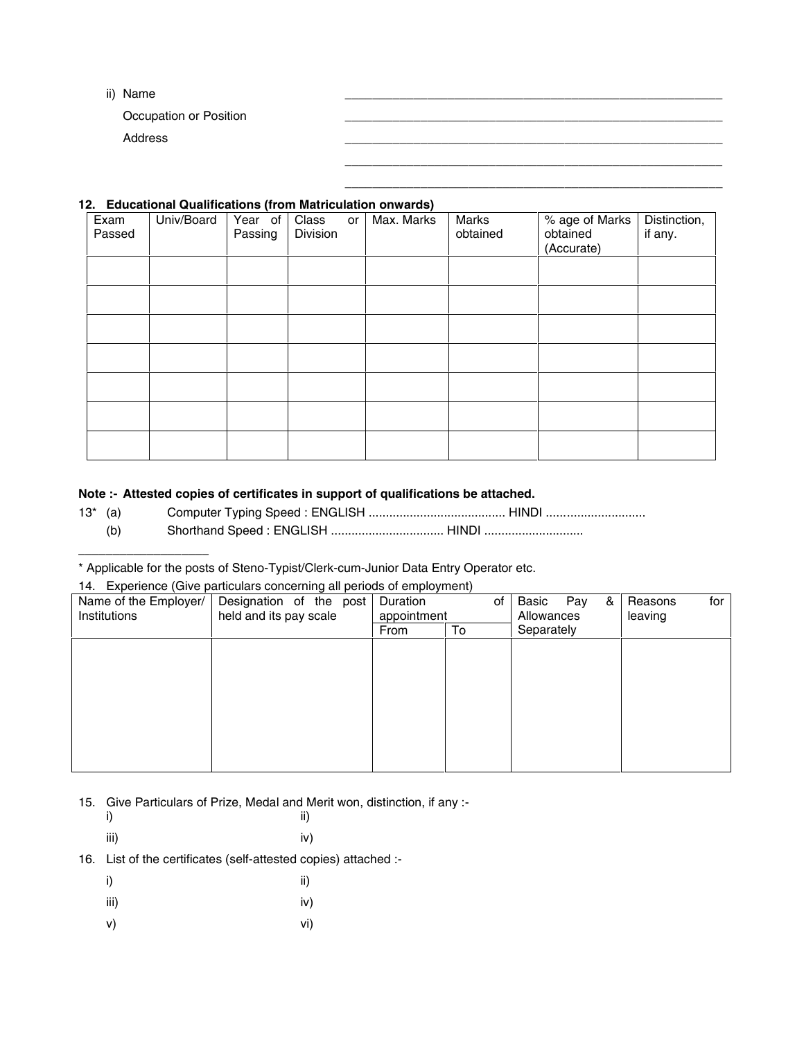ii) Name \_\_\_\_\_\_\_\_\_\_\_\_\_\_\_\_\_\_\_\_\_\_\_\_\_\_\_\_\_\_\_\_\_\_\_\_\_\_\_\_\_\_\_\_\_\_\_\_\_\_\_\_\_\_\_

Occupation or Position

Address \_\_\_\_\_\_\_\_\_\_\_\_\_\_\_\_\_\_\_\_\_\_\_\_\_\_\_\_\_\_\_\_\_\_\_\_\_\_\_\_\_\_\_\_\_\_\_\_\_\_\_\_\_\_\_

#### **12. Educational Qualifications (from Matriculation onwards)**

| Exam<br>Passed | Univ/Board | Year of<br>Passing | Class<br>or<br>Division | Max. Marks | Marks<br>obtained | % age of Marks<br>obtained<br>(Accurate) | Distinction,<br>if any. |
|----------------|------------|--------------------|-------------------------|------------|-------------------|------------------------------------------|-------------------------|
|                |            |                    |                         |            |                   |                                          |                         |
|                |            |                    |                         |            |                   |                                          |                         |
|                |            |                    |                         |            |                   |                                          |                         |
|                |            |                    |                         |            |                   |                                          |                         |
|                |            |                    |                         |            |                   |                                          |                         |
|                |            |                    |                         |            |                   |                                          |                         |
|                |            |                    |                         |            |                   |                                          |                         |

\_\_\_\_\_\_\_\_\_\_\_\_\_\_\_\_\_\_\_\_\_\_\_\_\_\_\_\_\_\_\_\_\_\_\_\_\_\_\_\_\_\_\_\_\_\_\_\_\_\_\_\_\_\_\_ \_\_\_\_\_\_\_\_\_\_\_\_\_\_\_\_\_\_\_\_\_\_\_\_\_\_\_\_\_\_\_\_\_\_\_\_\_\_\_\_\_\_\_\_\_\_\_\_\_\_\_\_\_\_\_

### **Note :- Attested copies of certificates in support of qualifications be attached.**

- 13\* (a) Computer Typing Speed : ENGLISH ........................................ HINDI .............................
	- (b) Shorthand Speed : ENGLISH ................................. HINDI .............................

\* Applicable for the posts of Steno-Typist/Clerk-cum-Junior Data Entry Operator etc.

#### 14. Experience (Give particulars concerning all periods of employment)

| Name of the Employer/<br>Institutions | Designation of the post<br>held and its pay scale | Duration<br>of<br>appointment |    | Basic<br>Pay<br>&<br>Allowances | for<br>Reasons<br>leaving |
|---------------------------------------|---------------------------------------------------|-------------------------------|----|---------------------------------|---------------------------|
|                                       |                                                   | From                          | To | Separately                      |                           |
|                                       |                                                   |                               |    |                                 |                           |
|                                       |                                                   |                               |    |                                 |                           |
|                                       |                                                   |                               |    |                                 |                           |
|                                       |                                                   |                               |    |                                 |                           |
|                                       |                                                   |                               |    |                                 |                           |
|                                       |                                                   |                               |    |                                 |                           |
|                                       |                                                   |                               |    |                                 |                           |
|                                       |                                                   |                               |    |                                 |                           |

15. Give Particulars of Prize, Medal and Merit won, distinction, if any :-

| i) |  | ii) |  |
|----|--|-----|--|
|    |  |     |  |

\_\_\_\_\_\_\_\_\_\_\_\_\_\_\_\_\_\_\_

iii) iv)

16. List of the certificates (self-attested copies) attached :-

| i)   | ii) |
|------|-----|
| iii) | iv) |
| v)   | vi) |